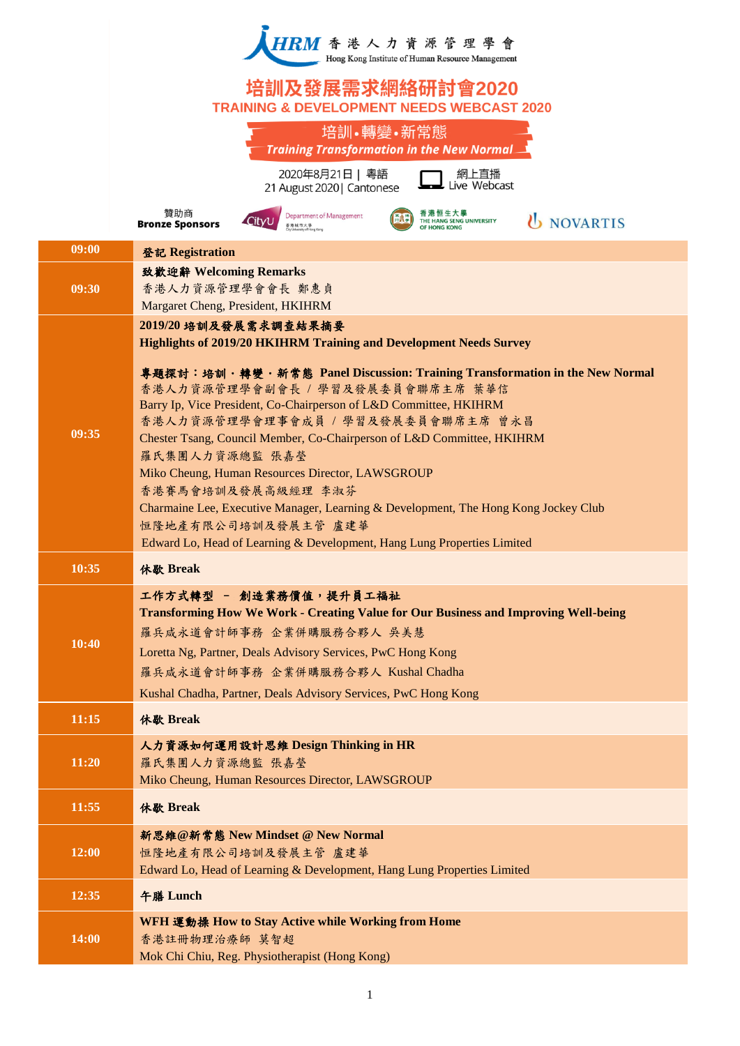

## 培訓及發展需求網絡研討會2020 **TRAINING & DEVELOPMENT NEEDS WEBCAST 2020**

|       | 培訓•轉變•新常態<br><b>Training Transformation in the New Normal_</b>                                                                                                                                                                                                                                                                                                                                                                                                                                                                                                                                                                                                                                 |
|-------|------------------------------------------------------------------------------------------------------------------------------------------------------------------------------------------------------------------------------------------------------------------------------------------------------------------------------------------------------------------------------------------------------------------------------------------------------------------------------------------------------------------------------------------------------------------------------------------------------------------------------------------------------------------------------------------------|
|       | 2020年8月21日   粵語<br>網上直播<br>Live Webcast<br>21 August 2020   Cantonese                                                                                                                                                                                                                                                                                                                                                                                                                                                                                                                                                                                                                          |
|       | 贊助商<br>香港恒生大學<br>Department of Management<br><b><i>U NOVARTIS</i></b><br><b>HE HANG SENG UNIVERSITY</b><br><b>Bronze Sponsors</b><br>香港城市大學<br><b>IF HONG KONG</b>                                                                                                                                                                                                                                                                                                                                                                                                                                                                                                                             |
| 09:00 | 登記 Registration                                                                                                                                                                                                                                                                                                                                                                                                                                                                                                                                                                                                                                                                                |
| 09:30 | 致歡迎辭 Welcoming Remarks<br>香港人力資源管理學會會長 鄭惠貞<br>Margaret Cheng, President, HKIHRM                                                                                                                                                                                                                                                                                                                                                                                                                                                                                                                                                                                                                |
| 09:35 | 2019/20 培訓及發展需求調查結果摘要<br><b>Highlights of 2019/20 HKIHRM Training and Development Needs Survey</b><br>專題探討:培訓・轉變・新常態 Panel Discussion: Training Transformation in the New Normal<br>香港人力資源管理學會副會長 / 學習及發展委員會聯席主席 葉華信<br>Barry Ip, Vice President, Co-Chairperson of L&D Committee, HKIHRM<br>香港人力資源管理學會理事會成員 / 學習及發展委員會聯席主席 曾永昌<br>Chester Tsang, Council Member, Co-Chairperson of L&D Committee, HKIHRM<br>羅氏集團人力資源總監 張嘉瑩<br>Miko Cheung, Human Resources Director, LAWSGROUP<br>香港賽馬會培訓及發展高級經理 李淑芬<br>Charmaine Lee, Executive Manager, Learning & Development, The Hong Kong Jockey Club<br>恒隆地產有限公司培訓及發展主管 盧建華<br>Edward Lo, Head of Learning & Development, Hang Lung Properties Limited |
| 10:35 | 休歇 Break                                                                                                                                                                                                                                                                                                                                                                                                                                                                                                                                                                                                                                                                                       |
| 10:40 | 工作方式轉型 - 創造業務價值,提升員工福祉<br><b>Transforming How We Work - Creating Value for Our Business and Improving Well-being</b><br>羅兵咸永道會計師事務 企業併購服務合夥人 吳美慧<br>Loretta Ng, Partner, Deals Advisory Services, PwC Hong Kong<br>羅兵咸永道會計師事務 企業併購服務合夥人 Kushal Chadha<br>Kushal Chadha, Partner, Deals Advisory Services, PwC Hong Kong                                                                                                                                                                                                                                                                                                                                                                        |
| 11:15 | 休歇 Break                                                                                                                                                                                                                                                                                                                                                                                                                                                                                                                                                                                                                                                                                       |
| 11:20 | 人力資源如何運用設計思維 Design Thinking in HR<br>羅氏集團人力資源總監 張嘉瑩<br>Miko Cheung, Human Resources Director, LAWSGROUP                                                                                                                                                                                                                                                                                                                                                                                                                                                                                                                                                                                       |
| 11:55 | 休歇 Break                                                                                                                                                                                                                                                                                                                                                                                                                                                                                                                                                                                                                                                                                       |
| 12:00 | 新思維@新常態 New Mindset @ New Normal<br>恒隆地產有限公司培訓及發展主管 盧建華<br>Edward Lo, Head of Learning & Development, Hang Lung Properties Limited                                                                                                                                                                                                                                                                                                                                                                                                                                                                                                                                                             |
| 12:35 | 午膳 Lunch                                                                                                                                                                                                                                                                                                                                                                                                                                                                                                                                                                                                                                                                                       |
| 14:00 | WFH 運動操 How to Stay Active while Working from Home<br>香港註冊物理治療師 莫智超<br>Mok Chi Chiu, Reg. Physiotherapist (Hong Kong)                                                                                                                                                                                                                                                                                                                                                                                                                                                                                                                                                                          |